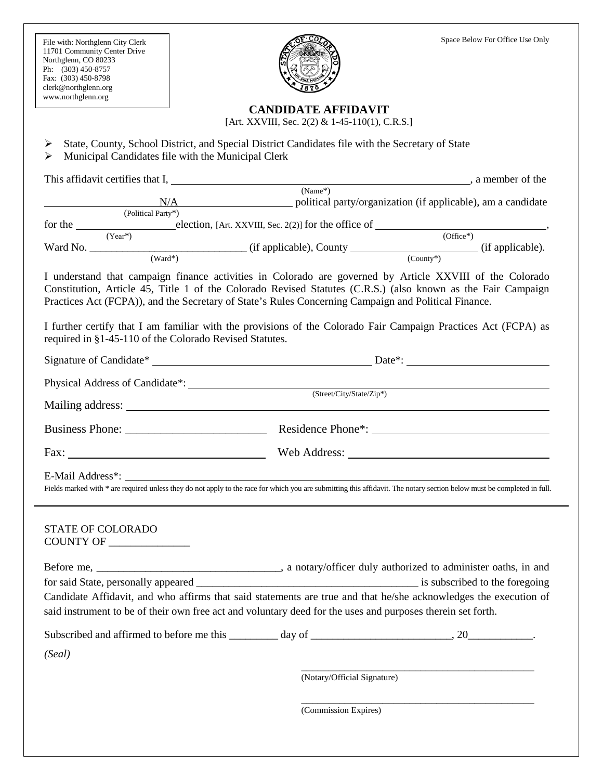File with: Northglenn City Clerk 11701 Community Center Drive Northglenn, CO 80233 Ph: (303) 450-8757 Fax: (303) 450-8798 clerk@northglenn.org www.northglenn.org



## **CANDIDATE AFFIDAVIT**

[Art. XXVIII, Sec. 2(2) & 1-45-110(1), C.R.S.]

 $\triangleright$  State, County, School District, and Special District Candidates file with the Secretary of State  $\triangleright$  Municipal Candidates file with the Municipal Clerk This affidavit certifies that I, , a member of the (Name\*) N/A political party/organization (if applicable), am a candidate (Political Party\*) for the election, [Art. XXVIII, Sec. 2(2)] for the office of (Year\*) (Office\*) (Office\*)  $\frac{W \cdot (W \cdot W)}{(W \cdot W \cdot W)}$  (if applicable), County (County\*) (if applicable). I understand that campaign finance activities in Colorado are governed by Article XXVIII of the Colorado Constitution, Article 45, Title 1 of the Colorado Revised Statutes (C.R.S.) (also known as the Fair Campaign Practices Act (FCPA)), and the Secretary of State's Rules Concerning Campaign and Political Finance. I further certify that I am familiar with the provisions of the Colorado Fair Campaign Practices Act (FCPA) as required in §1-45-110 of the Colorado Revised Statutes. Signature of Candidate\* Date\*: Physical Address of Candidate\*: (Street/City/State/Zip\*) Mailing address: Business Phone: \_\_\_\_\_\_\_\_\_\_\_\_\_\_\_\_\_\_\_\_\_\_\_\_ Residence Phone\*: Fax: Neb Address: Web Address: E-Mail Address\*: Fields marked with \* are required unless they do not apply to the race for which you are submitting this affidavit. The notary section below must be completed in full. STATE OF COLORADO COUNTY OF \_\_\_\_\_\_\_\_\_\_\_\_\_\_\_ Before me, \_\_\_\_\_\_\_\_\_\_\_\_\_\_\_\_\_\_\_\_\_\_\_\_\_\_\_\_\_\_, a notary/officer duly authorized to administer oaths, in and for said State, personally appeared \_\_\_\_\_\_\_\_\_\_\_\_\_\_\_\_\_\_\_\_\_\_\_\_\_\_\_\_\_\_\_\_\_\_\_\_\_\_\_\_\_ is subscribed to the foregoing Candidate Affidavit, and who affirms that said statements are true and that he/she acknowledges the execution of said instrument to be of their own free act and voluntary deed for the uses and purposes therein set forth. Subscribed and affirmed to before me this \_\_\_\_\_\_\_\_\_ day of \_\_\_\_\_\_\_\_\_\_\_\_\_\_\_\_\_\_\_\_\_\_\_\_\_\_, 20\_\_\_\_\_\_\_\_\_\_\_\_. *(Seal)* \_\_\_\_\_\_\_\_\_\_\_\_\_\_\_\_\_\_\_\_\_\_\_\_\_\_\_\_\_\_\_\_\_\_\_\_\_\_\_\_\_\_\_ (Notary/Official Signature) \_\_\_\_\_\_\_\_\_\_\_\_\_\_\_\_\_\_\_\_\_\_\_\_\_\_\_\_\_\_\_\_\_\_\_\_\_\_\_\_\_\_\_ (Commission Expires)